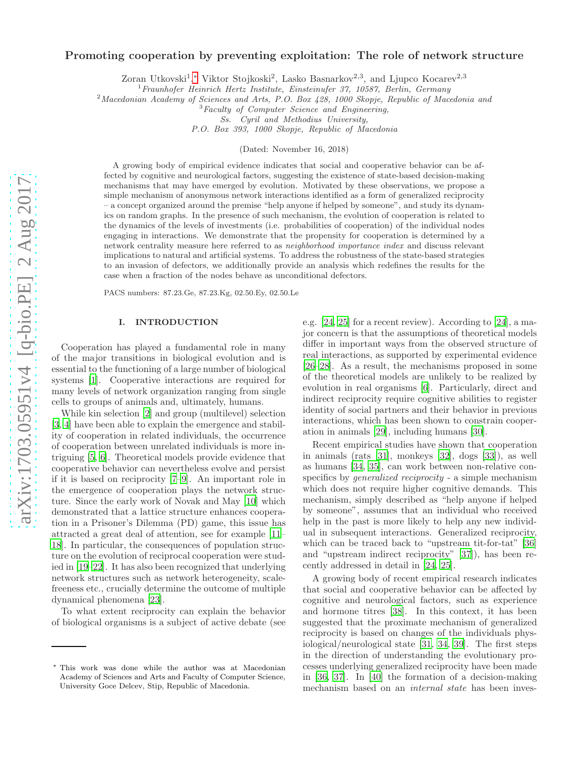# arXiv:1703.05951v4 [q-bio.PE] 2 Aug 2017 [arXiv:1703.05951v4 \[q-bio.PE\] 2 Aug 2017](http://arxiv.org/abs/1703.05951v4)

# Promoting cooperation by preventing exploitation: The role of network structure

Zoran Utkovski<sup>1</sup>,\* Viktor Stojkoski<sup>2</sup>, Lasko Basnarkov<sup>2,3</sup>, and Ljupco Kocarev<sup>2,3</sup>

 $1$  Fraunhofer Heinrich Hertz Institute, Einsteinufer 37, 10587, Berlin, Germany

<sup>2</sup>Macedonian Academy of Sciences and Arts, P.O. Box 428, 1000 Skopje, Republic of Macedonia and

 ${}^{3}Faculty$  of Computer Science and Engineering,

Ss. Cyril and Methodius University,

P.O. Box 393, 1000 Skopje, Republic of Macedonia

(Dated: November 16, 2018)

A growing body of empirical evidence indicates that social and cooperative behavior can be affected by cognitive and neurological factors, suggesting the existence of state-based decision-making mechanisms that may have emerged by evolution. Motivated by these observations, we propose a simple mechanism of anonymous network interactions identified as a form of generalized reciprocity – a concept organized around the premise "help anyone if helped by someone", and study its dynamics on random graphs. In the presence of such mechanism, the evolution of cooperation is related to the dynamics of the levels of investments (i.e. probabilities of cooperation) of the individual nodes engaging in interactions. We demonstrate that the propensity for cooperation is determined by a network centrality measure here referred to as neighborhood importance index and discuss relevant implications to natural and artificial systems. To address the robustness of the state-based strategies to an invasion of defectors, we additionally provide an analysis which redefines the results for the case when a fraction of the nodes behave as unconditional defectors.

PACS numbers: 87.23.Ge, 87.23.Kg, 02.50.Ey, 02.50.Le

# I. INTRODUCTION

Cooperation has played a fundamental role in many of the major transitions in biological evolution and is essential to the functioning of a large number of biological systems [\[1](#page-9-0)]. Cooperative interactions are required for many levels of network organization ranging from single cells to groups of animals and, ultimately, humans.

While kin selection [\[2\]](#page-9-1) and group (multilevel) selection [\[3,](#page-9-2) [4](#page-9-3)] have been able to explain the emergence and stability of cooperation in related individuals, the occurrence of cooperation between unrelated individuals is more intriguing [\[5](#page-9-4), [6](#page-9-5)]. Theoretical models provide evidence that cooperative behavior can nevertheless evolve and persist if it is based on reciprocity [\[7](#page-9-6)[–9](#page-9-7)]. An important role in the emergence of cooperation plays the network structure. Since the early work of Novak and May [\[10\]](#page-9-8) which demonstrated that a lattice structure enhances cooperation in a Prisoner's Dilemma (PD) game, this issue has attracted a great deal of attention, see for example [\[11](#page-9-9)– [18\]](#page-9-10). In particular, the consequences of population structure on the evolution of reciprocal cooperation were studied in [\[19](#page-9-11)[–22](#page-9-12)]. It has also been recognized that underlying network structures such as network heterogeneity, scalefreeness etc., crucially determine the outcome of multiple dynamical phenomena [\[23](#page-9-13)].

To what extent reciprocity can explain the behavior of biological organisms is a subject of active debate (see

e.g. [\[24,](#page-9-14) [25](#page-9-15)] for a recent review). According to [\[24\]](#page-9-14), a major concern is that the assumptions of theoretical models differ in important ways from the observed structure of real interactions, as supported by experimental evidence [\[26](#page-9-16)[–28\]](#page-9-17). As a result, the mechanisms proposed in some of the theoretical models are unlikely to be realized by evolution in real organisms [\[6\]](#page-9-5). Particularly, direct and indirect reciprocity require cognitive abilities to register identity of social partners and their behavior in previous interactions, which has been shown to constrain cooperation in animals [\[29\]](#page-10-0), including humans [\[30](#page-10-1)].

Recent empirical studies have shown that cooperation in animals (rats [\[31\]](#page-10-2), monkeys [\[32\]](#page-10-3), dogs [\[33\]](#page-10-4)), as well as humans [\[34,](#page-10-5) [35](#page-10-6)], can work between non-relative conspecifics by generalized reciprocity - a simple mechanism which does not require higher cognitive demands. This mechanism, simply described as "help anyone if helped by someone", assumes that an individual who received help in the past is more likely to help any new individual in subsequent interactions. Generalized reciprocity, which can be traced back to "upstream tit-for-tat" [\[36](#page-10-7)] and "upstream indirect reciprocity" [\[37](#page-10-8)]), has been recently addressed in detail in [\[24,](#page-9-14) [25\]](#page-9-15).

A growing body of recent empirical research indicates that social and cooperative behavior can be affected by cognitive and neurological factors, such as experience and hormone titres [\[38\]](#page-10-9). In this context, it has been suggested that the proximate mechanism of generalized reciprocity is based on changes of the individuals physiological/neurological state [\[31,](#page-10-2) [34,](#page-10-5) [39](#page-10-10)]. The first steps in the direction of understanding the evolutionary processes underlying generalized reciprocity have been made in [\[36](#page-10-7), [37\]](#page-10-8). In [\[40\]](#page-10-11) the formation of a decision-making mechanism based on an *internal state* has been inves-

<span id="page-0-0"></span><sup>∗</sup> This work was done while the author was at Macedonian Academy of Sciences and Arts and Faculty of Computer Science, University Goce Delcev, Stip, Republic of Macedonia.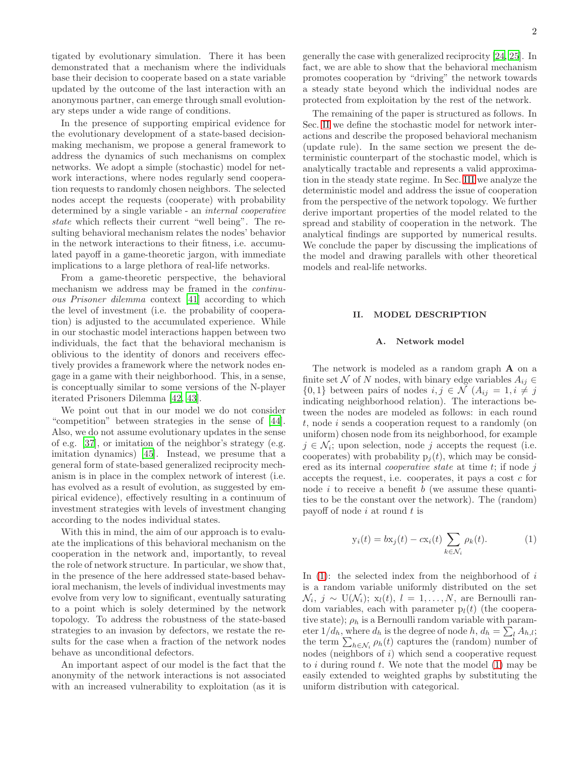tigated by evolutionary simulation. There it has been demonstrated that a mechanism where the individuals base their decision to cooperate based on a state variable updated by the outcome of the last interaction with an anonymous partner, can emerge through small evolutionary steps under a wide range of conditions.

In the presence of supporting empirical evidence for the evolutionary development of a state-based decisionmaking mechanism, we propose a general framework to address the dynamics of such mechanisms on complex networks. We adopt a simple (stochastic) model for network interactions, where nodes regularly send cooperation requests to randomly chosen neighbors. The selected nodes accept the requests (cooperate) with probability determined by a single variable - an internal cooperative state which reflects their current "well being". The resulting behavioral mechanism relates the nodes' behavior in the network interactions to their fitness, i.e. accumulated payoff in a game-theoretic jargon, with immediate implications to a large plethora of real-life networks.

From a game-theoretic perspective, the behavioral mechanism we address may be framed in the *continu*ous Prisoner dilemma context [\[41\]](#page-10-12) according to which the level of investment (i.e. the probability of cooperation) is adjusted to the accumulated experience. While in our stochastic model interactions happen between two individuals, the fact that the behavioral mechanism is oblivious to the identity of donors and receivers effectively provides a framework where the network nodes engage in a game with their neighborhood. This, in a sense, is conceptually similar to some versions of the N-player iterated Prisoners Dilemma [\[42,](#page-10-13) [43\]](#page-10-14).

We point out that in our model we do not consider "competition" between strategies in the sense of [\[44\]](#page-10-15). Also, we do not assume evolutionary updates in the sense of e.g. [\[37\]](#page-10-8), or imitation of the neighbor's strategy (e.g. imitation dynamics) [\[45\]](#page-10-16). Instead, we presume that a general form of state-based generalized reciprocity mechanism is in place in the complex network of interest (i.e. has evolved as a result of evolution, as suggested by empirical evidence), effectively resulting in a continuum of investment strategies with levels of investment changing according to the nodes individual states.

With this in mind, the aim of our approach is to evaluate the implications of this behavioral mechanism on the cooperation in the network and, importantly, to reveal the role of network structure. In particular, we show that, in the presence of the here addressed state-based behavioral mechanism, the levels of individual investments may evolve from very low to significant, eventually saturating to a point which is solely determined by the network topology. To address the robustness of the state-based strategies to an invasion by defectors, we restate the results for the case when a fraction of the network nodes behave as unconditional defectors.

An important aspect of our model is the fact that the anonymity of the network interactions is not associated with an increased vulnerability to exploitation (as it is

generally the case with generalized reciprocity [\[24](#page-9-14), [25](#page-9-15)]. In fact, we are able to show that the behavioral mechanism promotes cooperation by "driving" the network towards a steady state beyond which the individual nodes are protected from exploitation by the rest of the network.

The remaining of the paper is structured as follows. In Sec. [II](#page-1-0) we define the stochastic model for network interactions and describe the proposed behavioral mechanism (update rule). In the same section we present the deterministic counterpart of the stochastic model, which is analytically tractable and represents a valid approximation in the steady state regime. In Sec. [III](#page-3-0) we analyze the deterministic model and address the issue of cooperation from the perspective of the network topology. We further derive important properties of the model related to the spread and stability of cooperation in the network. The analytical findings are supported by numerical results. We conclude the paper by discussing the implications of the model and drawing parallels with other theoretical models and real-life networks.

# <span id="page-1-0"></span>II. MODEL DESCRIPTION

# A. Network model

The network is modeled as a random graph A on a finite set N of N nodes, with binary edge variables  $A_{ij} \in$  $\{0,1\}$  between pairs of nodes  $i, j \in \mathcal{N}$   $(A_{ij} = 1, i \neq j)$ indicating neighborhood relation). The interactions between the nodes are modeled as follows: in each round t, node i sends a cooperation request to a randomly (on uniform) chosen node from its neighborhood, for example  $j \in \mathcal{N}_i$ ; upon selection, node j accepts the request (i.e. cooperates) with probability  $p_i(t)$ , which may be considered as its internal *cooperative state* at time  $t$ ; if node  $j$ accepts the request, i.e. cooperates, it pays a cost c for node  $i$  to receive a benefit  $b$  (we assume these quantities to be the constant over the network). The (random) payoff of node  $i$  at round  $t$  is

<span id="page-1-1"></span>
$$
y_i(t) = bx_j(t) - cx_i(t) \sum_{k \in \mathcal{N}_i} \rho_k(t).
$$
 (1)

In  $(1)$ : the selected index from the neighborhood of i is a random variable uniformly distributed on the set  $\mathcal{N}_i, j \sim \mathrm{U}(\mathcal{N}_i); \ \mathrm{x}_l(t), \ l = 1, \ldots, N, \ \mathrm{are}$  Bernoulli random variables, each with parameter  $p_l(t)$  (the cooperative state);  $\rho_h$  is a Bernoulli random variable with parameter  $1/d_h$ , where  $d_h$  is the degree of node  $h, d_h = \sum_l A_{h,l}$ ; the term  $\sum_{h \in \mathcal{N}_i} \rho_h(t)$  captures the (random) number of nodes (neighbors of  $i$ ) which send a cooperative request to i during round  $t$ . We note that the model  $(1)$  may be easily extended to weighted graphs by substituting the uniform distribution with categorical.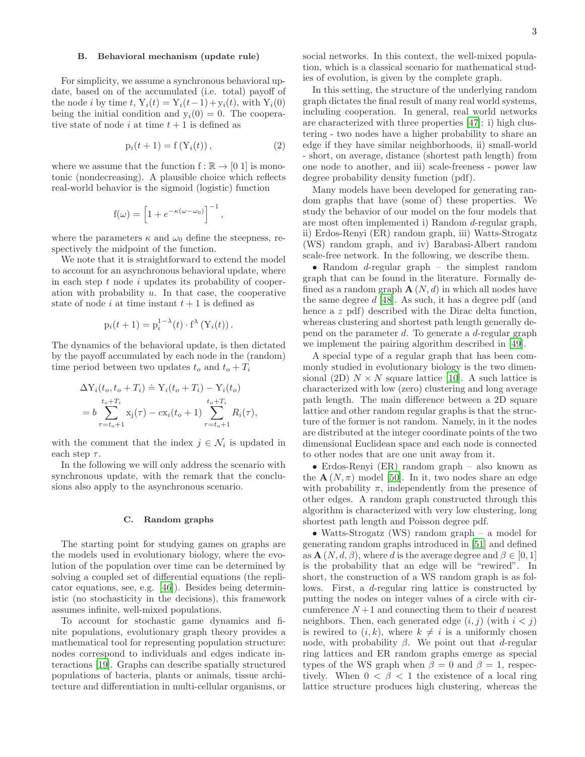### B. Behavioral mechanism (update rule)

For simplicity, we assume a synchronous behavioral update, based on of the accumulated (i.e. total) payoff of the node i by time t,  $Y_i(t) = Y_i(t-1) + y_i(t)$ , with  $Y_i(0)$ being the initial condition and  $y_i(0) = 0$ . The cooperative state of node i at time  $t + 1$  is defined as

$$
p_i(t + 1) = f(Y_i(t)),
$$
\n(2)

where we assume that the function  $f : \mathbb{R} \to [0, 1]$  is monotonic (nondecreasing). A plausible choice which reflects real-world behavior is the sigmoid (logistic) function

$$
f(\omega) = \left[1 + e^{-\kappa(\omega - \omega_0)}\right]^{-1},
$$

where the parameters  $\kappa$  and  $\omega_0$  define the steepness, respectively the midpoint of the function.

We note that it is straightforward to extend the model to account for an asynchronous behavioral update, where in each step  $t$  node  $i$  updates its probability of cooperation with probability  $u$ . In that case, the cooperative state of node i at time instant  $t + 1$  is defined as

$$
p_i(t+1) = p_i^{1-\lambda}(t) \cdot f^{\lambda}(Y_i(t)).
$$

The dynamics of the behavioral update, is then dictated by the payoff accumulated by each node in the (random) time period between two updates  $t_o$  and  $t_o + T_i$ 

$$
\Delta Y_i(t_o, t_o + T_i) \doteq Y_i(t_o + T_i) - Y_i(t_o)
$$
  
=  $b \sum_{\tau=t_o+1}^{t_o+T_i} x_j(\tau) - cx_i(t_o + 1) \sum_{\tau=t_o+1}^{t_o+T_i} R_i(\tau),$ 

with the comment that the index  $j \in \mathcal{N}_i$  is updated in each step  $\tau$ .

In the following we will only address the scenario with synchronous update, with the remark that the conclusions also apply to the asynchronous scenario.

# C. Random graphs

The starting point for studying games on graphs are the models used in evolutionary biology, where the evolution of the population over time can be determined by solving a coupled set of differential equations (the replicator equations, see, e.g. [\[46\]](#page-10-17)). Besides being deterministic (no stochasticity in the decisions), this framework assumes infinite, well-mixed populations.

To account for stochastic game dynamics and finite populations, evolutionary graph theory provides a mathematical tool for representing population structure: nodes correspond to individuals and edges indicate interactions [\[19\]](#page-9-11). Graphs can describe spatially structured populations of bacteria, plants or animals, tissue architecture and differentiation in multi-cellular organisms, or

social networks. In this context, the well-mixed population, which is a classical scenario for mathematical studies of evolution, is given by the complete graph.

In this setting, the structure of the underlying random graph dictates the final result of many real world systems, including cooperation. In general, real world networks are characterized with three properties [\[47\]](#page-10-18): i) high clustering - two nodes have a higher probability to share an edge if they have similar neighborhoods, ii) small-world - short, on average, distance (shortest path length) from one node to another, and iii) scale-freeness - power law degree probability density function (pdf).

<span id="page-2-0"></span>Many models have been developed for generating random graphs that have (some of) these properties. We study the behavior of our model on the four models that are most often implemented i) Random d-regular graph, ii) Erdos-Renyi (ER) random graph, iii) Watts-Strogatz (WS) random graph, and iv) Barabasi-Albert random scale-free network. In the following, we describe them.

• Random *d*-regular graph – the simplest random graph that can be found in the literature. Formally defined as a random graph  $\mathbf{A}(N,d)$  in which all nodes have the same degree  $d$  [\[48](#page-10-19)]. As such, it has a degree pdf (and hence a z pdf) described with the Dirac delta function, whereas clustering and shortest path length generally depend on the parameter  $d$ . To generate a  $d$ -regular graph we implement the pairing algorithm described in [\[49\]](#page-10-20).

A special type of a regular graph that has been commonly studied in evolutionary biology is the two dimensional (2D)  $N \times N$  square lattice [\[10\]](#page-9-8). A such lattice is characterized with low (zero) clustering and long average path length. The main difference between a 2D square lattice and other random regular graphs is that the structure of the former is not random. Namely, in it the nodes are distributed at the integer coordinate points of the two dimensional Euclidean space and each node is connected to other nodes that are one unit away from it.

• Erdos-Renyi (ER) random graph – also known as the  $\mathbf{A}(N,\pi)$  model [\[50\]](#page-10-21). In it, two nodes share an edge with probability  $\pi$ , independently from the presence of other edges. A random graph constructed through this algorithm is characterized with very low clustering, long shortest path length and Poisson degree pdf.

• Watts-Strogatz (WS) random graph – a model for generating random graphs introduced in [\[51\]](#page-10-22) and defined as  $\mathbf{A}(N, d, \beta)$ , where d is the average degree and  $\beta \in [0, 1]$ is the probability that an edge will be "rewired". In short, the construction of a WS random graph is as follows. First, a d-regular ring lattice is constructed by putting the nodes on integer values of a circle with circumference  $N+1$  and connecting them to their d nearest neighbors. Then, each generated edge  $(i, j)$  (with  $i < j$ ) is rewired to  $(i, k)$ , where  $k \neq i$  is a uniformly chosen node, with probability β. We point out that d-regular ring lattices and ER random graphs emerge as special types of the WS graph when  $\beta = 0$  and  $\beta = 1$ , respectively. When  $0 < \beta < 1$  the existence of a local ring lattice structure produces high clustering, whereas the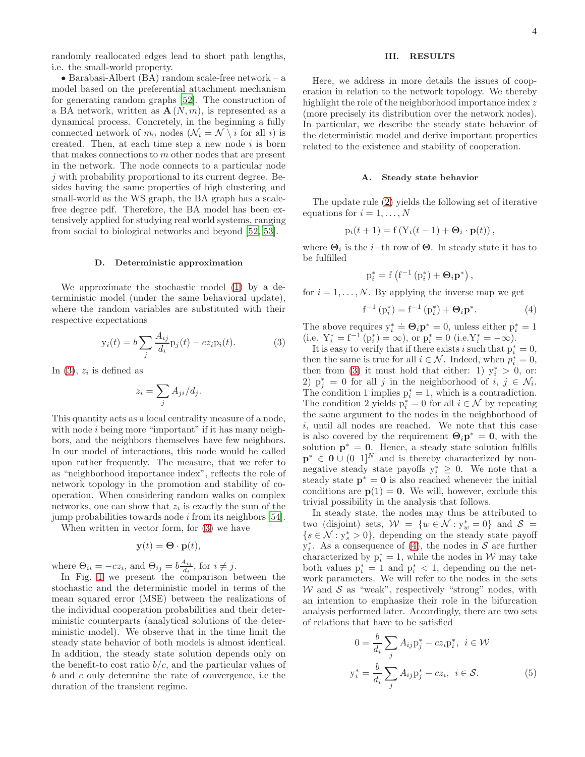randomly reallocated edges lead to short path lengths, i.e. the small-world property.

• Barabasi-Albert (BA) random scale-free network – a model based on the preferential attachment mechanism for generating random graphs [\[52](#page-10-23)]. The construction of a BA network, written as  $\mathbf{A}(N,m)$ , is represented as a dynamical process. Concretely, in the beginning a fully connected network of  $m_0$  nodes  $(\mathcal{N}_i = \mathcal{N} \setminus i$  for all i) is created. Then, at each time step a new node  $i$  is born that makes connections to m other nodes that are present in the network. The node connects to a particular node  $j$  with probability proportional to its current degree. Besides having the same properties of high clustering and small-world as the WS graph, the BA graph has a scalefree degree pdf. Therefore, the BA model has been extensively applied for studying real world systems, ranging from social to biological networks and beyond [\[52,](#page-10-23) [53](#page-10-24)].

# D. Deterministic approximation

We approximate the stochastic model [\(1\)](#page-1-1) by a deterministic model (under the same behavioral update), where the random variables are substituted with their respective expectations

$$
y_i(t) = b \sum_j \frac{A_{ij}}{d_i} p_j(t) - cz_i p_i(t).
$$
 (3)

In  $(3)$ ,  $z_i$  is defined as

$$
z_i = \sum_j A_{ji}/d_j.
$$

This quantity acts as a local centrality measure of a node, with node  $i$  being more "important" if it has many neighbors, and the neighbors themselves have few neighbors. In our model of interactions, this node would be called upon rather frequently. The measure, that we refer to as "neighborhood importance index", reflects the role of network topology in the promotion and stability of cooperation. When considering random walks on complex networks, one can show that  $z_i$  is exactly the sum of the jump probabilities towards node  $i$  from its neighbors [\[54\]](#page-10-25).

When written in vector form, for [\(3\)](#page-3-1) we have

$$
\mathbf{y}(t) = \mathbf{\Theta} \cdot \mathbf{p}(t),
$$

where  $\Theta_{ii} = -cz_i$ , and  $\Theta_{ij} = b\frac{A_{ij}}{dz}$  $\frac{d_i}{d_i}$ , for  $i \neq j$ .

In Fig. [1](#page-4-0) we present the comparison between the stochastic and the deterministic model in terms of the mean squared error (MSE) between the realizations of the individual cooperation probabilities and their deterministic counterparts (analytical solutions of the deterministic model). We observe that in the time limit the steady state behavior of both models is almost identical. In addition, the steady state solution depends only on the benefit-to cost ratio  $b/c$ , and the particular values of b and c only determine the rate of convergence, i.e the duration of the transient regime.

# <span id="page-3-0"></span>III. RESULTS

Here, we address in more details the issues of cooperation in relation to the network topology. We thereby highlight the role of the neighborhood importance index z (more precisely its distribution over the network nodes). In particular, we describe the steady state behavior of the deterministic model and derive important properties related to the existence and stability of cooperation.

### A. Steady state behavior

The update rule [\(2\)](#page-2-0) yields the following set of iterative equations for  $i = 1, ..., N$ 

$$
p_i(t + 1) = f(Y_i(t - 1) + \Theta_i \cdot \mathbf{p}(t)),
$$

where  $\Theta_i$  is the *i*-th row of  $\Theta$ . In steady state it has to be fulfilled

$$
p_i^* = f\left(f^{-1}\left(p_i^*\right) + \mathbf{\Theta}_i \mathbf{p}^*\right),\,
$$

for  $i = 1, \ldots, N$ . By applying the inverse map we get

<span id="page-3-2"></span>
$$
f^{-1}(p_i^*) = f^{-1}(p_i^*) + \Theta_i p^*.
$$
 (4)

The above requires  $y_i^* \doteq \Theta_i \mathbf{p}^* = 0$ , unless either  $p_i^* = 1$ (i.e.  $Y_i^* = f^{-1}(p_i^*) = \infty$ ), or  $p_i^* = 0$  (i.e.  $Y_i^* = -\infty$ ).

<span id="page-3-1"></span>It is easy to verify that if there exists i such that  $p_i^* = 0$ , then the same is true for all  $i \in \mathcal{N}$ . Indeed, when  $p_i^* = 0$ , then from [\(3\)](#page-3-1) it must hold that either: 1)  $y_i^* > 0$ , or: 2)  $p_j^* = 0$  for all j in the neighborhood of i,  $j \in \mathcal{N}_i$ . The condition 1 implies  $p_i^* = 1$ , which is a contradiction. The condition 2 yields  $p_i^* = 0$  for all  $i \in \mathcal{N}$  by repeating the same argument to the nodes in the neighborhood of i, until all nodes are reached. We note that this case is also covered by the requirement  $\Theta_i \mathbf{p}^* = \mathbf{0}$ , with the solution  $p^* = 0$ . Hence, a steady state solution fulfills  $\mathbf{p}^* \in \mathbf{0} \cup (0 \ 1]^N$  and is thereby characterized by nonnegative steady state payoffs  $y_i^* \geq 0$ . We note that a steady state  $\mathbf{p}^* = \mathbf{0}$  is also reached whenever the initial conditions are  $p(1) = 0$ . We will, however, exclude this trivial possibility in the analysis that follows.

In steady state, the nodes may thus be attributed to two (disjoint) sets,  $W = \{w \in \mathcal{N} : y_w^* = 0\}$  and  $\mathcal{S} =$  $\{s \in \mathcal{N}: y_s^* > 0\}$ , depending on the steady state payoff  $y_i^*$ . As a consequence of [\(4\)](#page-3-2), the nodes in S are further characterized by  $p_i^* = 1$ , while the nodes in W may take both values  $p_i^* = 1$  and  $p_i^* < 1$ , depending on the network parameters. We will refer to the nodes in the sets  $W$  and  $S$  as "weak", respectively "strong" nodes, with an intention to emphasize their role in the bifurcation analysis performed later. Accordingly, there are two sets of relations that have to be satisfied

<span id="page-3-3"></span>
$$
0 = \frac{b}{d_i} \sum_j A_{ij} p_j^* - c z_i p_i^*, \quad i \in \mathcal{W}
$$

$$
y_i^* = \frac{b}{d_i} \sum_j A_{ij} p_j^* - c z_i, \quad i \in \mathcal{S}.
$$

$$
(5)
$$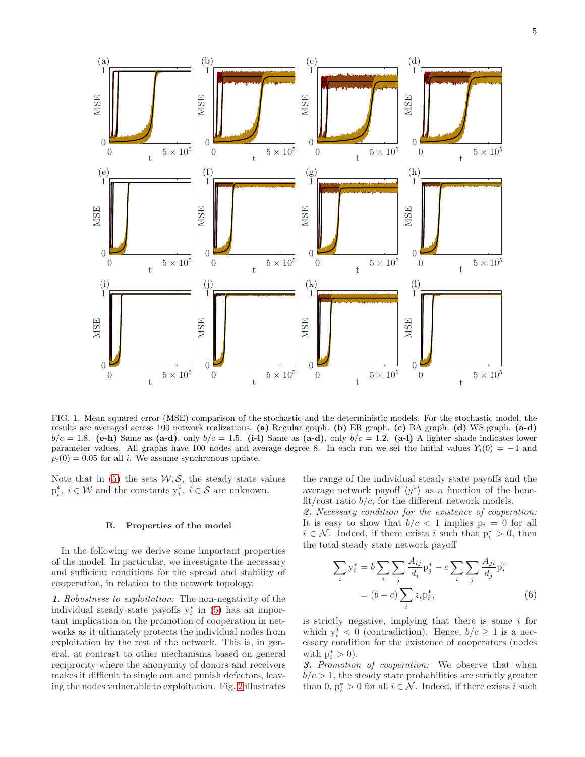5



<span id="page-4-0"></span>FIG. 1. Mean squared error (MSE) comparison of the stochastic and the deterministic models. For the stochastic model, the results are averaged across 100 network realizations. (a) Regular graph. (b) ER graph. (c) BA graph. (d) WS graph. (a-d)  $b/c = 1.8$ . (e-h) Same as (a-d), only  $b/c = 1.5$ . (i-1) Same as (a-d), only  $b/c = 1.2$ . (a-1) A lighter shade indicates lower parameter values. All graphs have 100 nodes and average degree 8. In each run we set the initial values  $Y_i(0) = -4$  and  $p_i(0) = 0.05$  for all i. We assume synchronous update.

Note that in  $(5)$  the sets  $W, S$ , the steady state values  $p_i^*, i \in \mathcal{W}$  and the constants  $y_i^*, i \in \mathcal{S}$  are unknown.

# B. Properties of the model

In the following we derive some important properties of the model. In particular, we investigate the necessary and sufficient conditions for the spread and stability of cooperation, in relation to the network topology.

1. Robustness to exploitation: The non-negativity of the individual steady state payoffs  $y_i^*$  in [\(5\)](#page-3-3) has an important implication on the promotion of cooperation in networks as it ultimately protects the individual nodes from exploitation by the rest of the network. This is, in general, at contrast to other mechanisms based on general reciprocity where the anonymity of donors and receivers makes it difficult to single out and punish defectors, leaving the nodes vulnerable to exploitation. Fig. [2](#page-5-0) illustrates

the range of the individual steady state payoffs and the average network payoff  $\langle y^* \rangle$  as a function of the benefit/cost ratio  $b/c$ , for the different network models.

2. Necessary condition for the existence of cooperation: It is easy to show that  $b/c < 1$  implies  $p_i = 0$  for all  $i \in \mathcal{N}$ . Indeed, if there exists i such that  $p_i^* > 0$ , then the total steady state network payoff

<span id="page-4-1"></span>
$$
\sum_{i} y_i^* = b \sum_{i} \sum_{j} \frac{A_{ij}}{d_i} p_j^* - c \sum_{i} \sum_{j} \frac{A_{ji}}{d_j} p_i^*
$$

$$
= (b - c) \sum_{i} z_i p_i^*,
$$
(6)

is strictly negative, implying that there is some  $i$  for which  $y_i^* < 0$  (contradiction). Hence,  $b/c \ge 1$  is a necessary condition for the existence of cooperators (nodes with  $\mathbf{p}_i^* > 0$ ).

3. Promotion of cooperation: We observe that when  $b/c > 1$ , the steady state probabilities are strictly greater than 0,  $p_i^* > 0$  for all  $i \in \mathcal{N}$ . Indeed, if there exists i such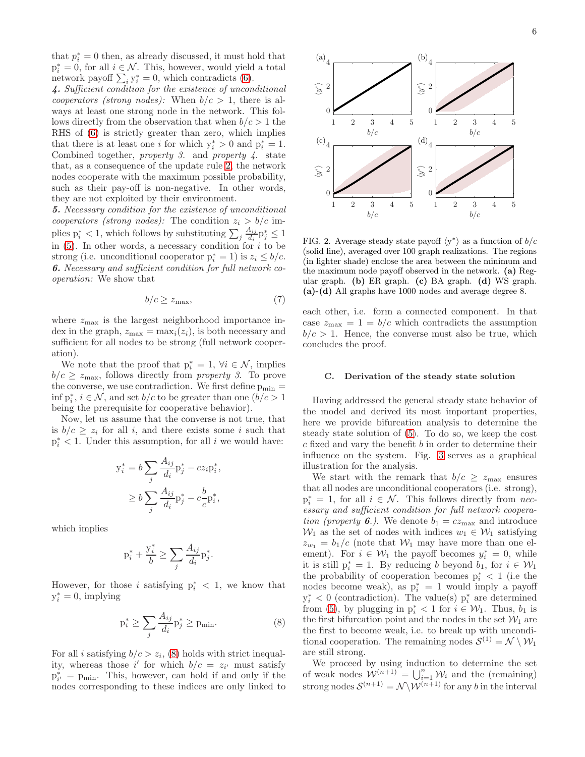that  $p_i^* = 0$  then, as already discussed, it must hold that  $p_i^* = 0$ , for all  $i \in \mathcal{N}$ . This, however, would yield a total network payoff  $\sum_i y_i^* = 0$ , which contradicts [\(6\)](#page-4-1).

4. Sufficient condition for the existence of unconditional cooperators (strong nodes): When  $b/c > 1$ , there is always at least one strong node in the network. This follows directly from the observation that when  $b/c > 1$  the RHS of [\(6\)](#page-4-1) is strictly greater than zero, which implies that there is at least one *i* for which  $y_i^* > 0$  and  $p_i^* = 1$ . Combined together, property 3. and property  $\overline{4}$ . state that, as a consequence of the update rule [2,](#page-2-0) the network nodes cooperate with the maximum possible probability, such as their pay-off is non-negative. In other words, they are not exploited by their environment.

5. Necessary condition for the existence of unconditional cooperators (strong nodes): The condition  $z_i > b/c$  implies  $p_i^* < 1$ , which follows by substituting  $\sum_j \frac{A_{ij}}{d_i}$  $\frac{A_{ij}}{d_i}$ p $_j^* \leq 1$ in  $(5)$ . In other words, a necessary condition for i to be strong (i.e. unconditional cooperator  $p_i^* = 1$ ) is  $z_i \leq b/c$ . 6. Necessary and sufficient condition for full network cooperation: We show that

$$
b/c \ge z_{\text{max}},\tag{7}
$$

where  $z_{\text{max}}$  is the largest neighborhood importance index in the graph,  $z_{\text{max}} = \max_i(z_i)$ , is both necessary and sufficient for all nodes to be strong (full network cooperation).

We note that the proof that  $p_i^* = 1$ ,  $\forall i \in \mathcal{N}$ , implies  $b/c \geq z_{\text{max}}$ , follows directly from *property 3*. To prove the converse, we use contradiction. We first define  $p_{\min} =$  $\inf p_i^*, i \in \mathcal{N}$ , and set  $b/c$  to be greater than one  $(b/c > 1)$ being the prerequisite for cooperative behavior).

Now, let us assume that the converse is not true, that is  $b/c \geq z_i$  for all i, and there exists some i such that  $p_i^*$  < 1. Under this assumption, for all i we would have:

$$
y_i^* = b \sum_j \frac{A_{ij}}{d_i} p_j^* - c z_i p_i^*,
$$
  

$$
\geq b \sum_j \frac{A_{ij}}{d_i} p_j^* - c \frac{b}{c} p_i^*,
$$

which implies

$$
\mathbf{p}_i^* + \frac{\mathbf{y}_i^*}{b} \ge \sum_j \frac{A_{ij}}{d_i} \mathbf{p}_j^*
$$

However, for those i satisfying  $p_i^*$  < 1, we know that  $y_i^* = 0$ , implying

$$
p_i^* \ge \sum_j \frac{A_{ij}}{d_i} p_j^* \ge p_{\min}.\tag{8}
$$

.

For all *i* satisfying  $b/c > z_i$ , [\(8\)](#page-5-1) holds with strict inequality, whereas those i' for which  $b/c = z_{i'}$  must satisfy  $p_{i'}^* = p_{\min}$ . This, however, can hold if and only if the nodes corresponding to these indices are only linked to



<span id="page-5-0"></span>FIG. 2. Average steady state payoff  $\langle y^* \rangle$  as a function of  $b/c$ (solid line), averaged over 100 graph realizations. The regions (in lighter shade) enclose the area between the minimum and the maximum node payoff observed in the network. (a) Regular graph. (b) ER graph. (c) BA graph. (d) WS graph. (a)-(d) All graphs have 1000 nodes and average degree 8.

<span id="page-5-2"></span>each other, i.e. form a connected component. In that case  $z_{\text{max}} = 1 = b/c$  which contradicts the assumption  $b/c > 1$ . Hence, the converse must also be true, which concludes the proof.

### C. Derivation of the steady state solution

Having addressed the general steady state behavior of the model and derived its most important properties, here we provide bifurcation analysis to determine the steady state solution of [\(5\)](#page-3-3). To do so, we keep the cost c fixed and vary the benefit b in order to determine their influence on the system. Fig. [3](#page-6-0) serves as a graphical illustration for the analysis.

We start with the remark that  $b/c \geq z_{\text{max}}$  ensures that all nodes are unconditional cooperators (i.e. strong),  $p_i^* = 1$ , for all  $i \in \mathcal{N}$ . This follows directly from necessary and sufficient condition for full network cooperation (property 6.). We denote  $b_1 = cz_{\text{max}}$  and introduce  $W_1$  as the set of nodes with indices  $w_1 \in W_1$  satisfying  $z_{w_1} = b_1/c$  (note that  $\mathcal{W}_1$  may have more than one element). For  $i \in \mathcal{W}_1$  the payoff becomes  $y_i^* = 0$ , while it is still  $p_i^* = 1$ . By reducing b beyond  $b_1$ , for  $i \in \mathcal{W}_1$ the probability of cooperation becomes  $p_i^*$  < 1 (i.e the nodes become weak), as  $p_i^* = 1$  would imply a payoff  $y_i^*$  < 0 (contradiction). The value(s)  $p_i^*$  are determined from [\(5\)](#page-3-3), by plugging in  $p_i^* < 1$  for  $i \in \mathcal{W}_1$ . Thus,  $b_1$  is the first bifurcation point and the nodes in the set  $\mathcal{W}_1$  are the first to become weak, i.e. to break up with unconditional cooperation. The remaining nodes  $S^{(1)} = \mathcal{N} \setminus \mathcal{W}_1$ are still strong.

<span id="page-5-1"></span>We proceed by using induction to determine the set of weak nodes  $\mathcal{W}^{(n+1)} = \bigcup_{i=1}^{n} \mathcal{W}_i$  and the (remaining) strong nodes  $\mathcal{S}^{(n+1)} = \mathcal{N} \backslash \mathcal{W}^{(n+1)}$  for any b in the interval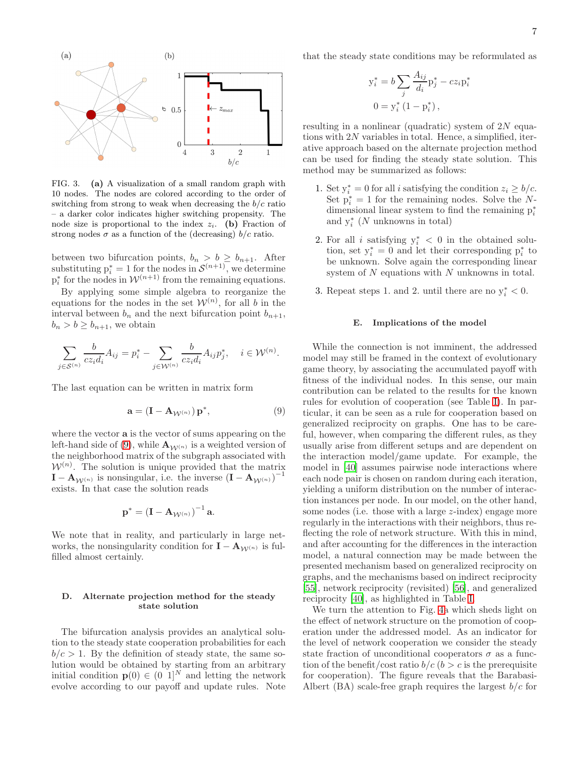

<span id="page-6-0"></span>FIG. 3. (a) A visualization of a small random graph with 10 nodes. The nodes are colored according to the order of switching from strong to weak when decreasing the  $b/c$  ratio – a darker color indicates higher switching propensity. The node size is proportional to the index  $z_i$ . (b) Fraction of strong nodes  $\sigma$  as a function of the (decreasing)  $b/c$  ratio.

between two bifurcation points,  $b_n > b \geq b_{n+1}$ . After substituting  $p_i^* = 1$  for the nodes in  $\mathcal{S}^{(n+1)}$ , we determine  $p_i^*$  for the nodes in  $W^{(n+1)}$  from the remaining equations.

By applying some simple algebra to reorganize the equations for the nodes in the set  $\mathcal{W}^{(n)}$ , for all b in the interval between  $b_n$  and the next bifurcation point  $b_{n+1}$ ,  $b_n > b \ge b_{n+1}$ , we obtain

$$
\sum_{j \in S^{(n)}} \frac{b}{cz_i d_i} A_{ij} = p_i^* - \sum_{j \in \mathcal{W}^{(n)}} \frac{b}{cz_i d_i} A_{ij} p_j^*, \quad i \in \mathcal{W}^{(n)}.
$$

The last equation can be written in matrix form

$$
\mathbf{a} = (\mathbf{I} - \mathbf{A}_{\mathcal{W}^{(n)}}) \mathbf{p}^*,\tag{9}
$$

where the vector a is the vector of sums appearing on the left-hand side of [\(9\)](#page-6-1), while  $\mathbf{A}_{\mathcal{W}^{(n)}}$  is a weighted version of the neighborhood matrix of the subgraph associated with  $\mathcal{W}^{(n)}$ . The solution is unique provided that the matrix  $\mathbf{I} - \mathbf{A}_{\mathcal{W}^{(n)}}$  is nonsingular, i.e. the inverse  $(\mathbf{I} - \mathbf{A}_{\mathcal{W}^{(n)}})^{-1}$ exists. In that case the solution reads

$$
\mathbf{p}^* = \left(\mathbf{I} - \mathbf{A}_{\mathcal{W}^{(n)}}\right)^{-1} \mathbf{a}.
$$

We note that in reality, and particularly in large networks, the nonsingularity condition for  $\mathbf{I} - \mathbf{A}_{\mathcal{W}^{(n)}}$  is fulfilled almost certainly.

# D. Alternate projection method for the steady state solution

The bifurcation analysis provides an analytical solution to the steady state cooperation probabilities for each  $b/c > 1$ . By the definition of steady state, the same solution would be obtained by starting from an arbitrary initial condition  $p(0) \in (0, 1]^N$  and letting the network evolve according to our payoff and update rules. Note

that the steady state conditions may be reformulated as

$$
y_i^* = b \sum_j \frac{A_{ij}}{d_i} p_j^* - c z_i p_i^*
$$
  

$$
0 = y_i^* (1 - p_i^*),
$$

resulting in a nonlinear (quadratic) system of  $2N$  equations with 2N variables in total. Hence, a simplified, iterative approach based on the alternate projection method can be used for finding the steady state solution. This method may be summarized as follows:

- 1. Set  $y_i^* = 0$  for all *i* satisfying the condition  $z_i \ge b/c$ . Set  $p_i^* = 1$  for the remaining nodes. Solve the Ndimensional linear system to find the remaining  $p_i^*$ and  $y_i^*$  (N unknowns in total)
- 2. For all i satisfying  $y_i^* < 0$  in the obtained solution, set  $y_i^* = 0$  and let their corresponding  $p_i^*$  to be unknown. Solve again the corresponding linear system of  $N$  equations with  $N$  unknowns in total.
- 3. Repeat steps 1. and 2. until there are no  $y_i^* < 0$ .

### E. Implications of the model

<span id="page-6-1"></span>While the connection is not imminent, the addressed model may still be framed in the context of evolutionary game theory, by associating the accumulated payoff with fitness of the individual nodes. In this sense, our main contribution can be related to the results for the known rules for evolution of cooperation (see Table [I\)](#page-8-0). In particular, it can be seen as a rule for cooperation based on generalized reciprocity on graphs. One has to be careful, however, when comparing the different rules, as they usually arise from different setups and are dependent on the interaction model/game update. For example, the model in [\[40](#page-10-11)] assumes pairwise node interactions where each node pair is chosen on random during each iteration, yielding a uniform distribution on the number of interaction instances per node. In our model, on the other hand, some nodes (i.e. those with a large  $z$ -index) engage more regularly in the interactions with their neighbors, thus reflecting the role of network structure. With this in mind, and after accounting for the differences in the interaction model, a natural connection may be made between the presented mechanism based on generalized reciprocity on graphs, and the mechanisms based on indirect reciprocity [\[55\]](#page-10-26), network reciprocity (revisited) [\[56\]](#page-10-27), and generalized reciprocity [\[40](#page-10-11)], as highlighted in Table [I.](#page-8-0)

We turn the attention to Fig. [4a](#page-7-0) which sheds light on the effect of network structure on the promotion of cooperation under the addressed model. As an indicator for the level of network cooperation we consider the steady state fraction of unconditional cooperators  $\sigma$  as a function of the benefit/cost ratio  $b/c$  ( $b > c$  is the prerequisite for cooperation). The figure reveals that the Barabasi-Albert (BA) scale-free graph requires the largest  $b/c$  for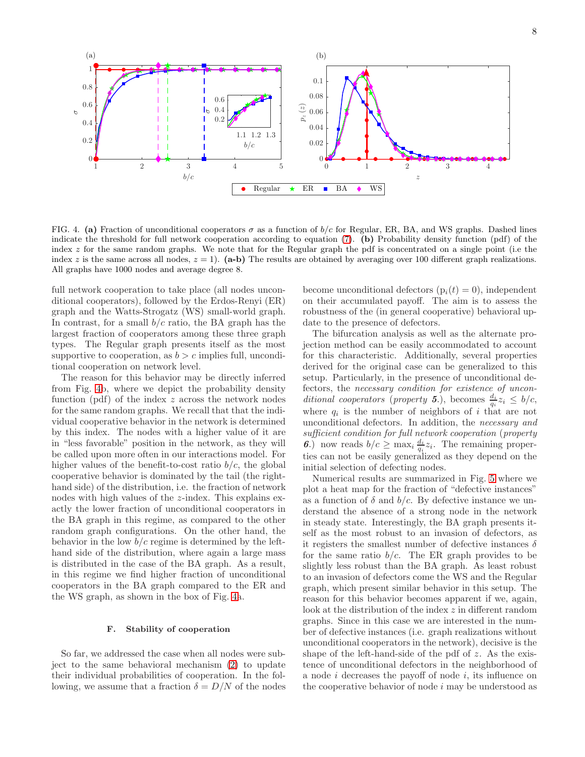

<span id="page-7-0"></span>FIG. 4. (a) Fraction of unconditional cooperators  $\sigma$  as a function of  $b/c$  for Regular, ER, BA, and WS graphs. Dashed lines indicate the threshold for full network cooperation according to equation  $(7)$ . (b) Probability density function (pdf) of the index  $z$  for the same random graphs. We note that for the Regular graph the pdf is concentrated on a single point (i.e the index z is the same across all nodes,  $z = 1$ . (a-b) The results are obtained by averaging over 100 different graph realizations. All graphs have 1000 nodes and average degree 8.

full network cooperation to take place (all nodes unconditional cooperators), followed by the Erdos-Renyi (ER) graph and the Watts-Strogatz (WS) small-world graph. In contrast, for a small  $b/c$  ratio, the BA graph has the largest fraction of cooperators among these three graph types. The Regular graph presents itself as the most supportive to cooperation, as  $b > c$  implies full, unconditional cooperation on network level.

The reason for this behavior may be directly inferred from Fig. [4b](#page-7-0), where we depict the probability density function  $(pdf)$  of the index  $z$  across the network nodes for the same random graphs. We recall that that the individual cooperative behavior in the network is determined by this index. The nodes with a higher value of it are in "less favorable" position in the network, as they will be called upon more often in our interactions model. For higher values of the benefit-to-cost ratio  $b/c$ , the global cooperative behavior is dominated by the tail (the righthand side) of the distribution, i.e. the fraction of network nodes with high values of the z-index. This explains exactly the lower fraction of unconditional cooperators in the BA graph in this regime, as compared to the other random graph configurations. On the other hand, the behavior in the low  $b/c$  regime is determined by the lefthand side of the distribution, where again a large mass is distributed in the case of the BA graph. As a result, in this regime we find higher fraction of unconditional cooperators in the BA graph compared to the ER and the WS graph, as shown in the box of Fig. [4a](#page-7-0).

# F. Stability of cooperation

So far, we addressed the case when all nodes were subject to the same behavioral mechanism [\(2\)](#page-2-0) to update their individual probabilities of cooperation. In the following, we assume that a fraction  $\delta = D/N$  of the nodes

become unconditional defectors  $(p_i(t) = 0)$ , independent on their accumulated payoff. The aim is to assess the robustness of the (in general cooperative) behavioral update to the presence of defectors.

The bifurcation analysis as well as the alternate projection method can be easily accommodated to account for this characteristic. Additionally, several properties derived for the original case can be generalized to this setup. Particularly, in the presence of unconditional defectors, the necessary condition for existence of unconditional cooperators (property 5.), becomes  $\frac{d_i}{q_i}z_i \leq b/c$ , where  $q_i$  is the number of neighbors of i that are not unconditional defectors. In addition, the necessary and sufficient condition for full network cooperation (property 6.) now reads  $b/c \ge \max_i \frac{d_i}{q_i} z_i$ . The remaining properties can not be easily generalized as they depend on the initial selection of defecting nodes.

Numerical results are summarized in Fig. [5](#page-8-1) where we plot a heat map for the fraction of "defective instances" as a function of  $\delta$  and  $b/c$ . By defective instance we understand the absence of a strong node in the network in steady state. Interestingly, the BA graph presents itself as the most robust to an invasion of defectors, as it registers the smallest number of defective instances  $\delta$ for the same ratio  $b/c$ . The ER graph provides to be slightly less robust than the BA graph. As least robust to an invasion of defectors come the WS and the Regular graph, which present similar behavior in this setup. The reason for this behavior becomes apparent if we, again, look at the distribution of the index z in different random graphs. Since in this case we are interested in the number of defective instances (i.e. graph realizations without unconditional cooperators in the network), decisive is the shape of the left-hand-side of the pdf of  $z$ . As the existence of unconditional defectors in the neighborhood of a node i decreases the payoff of node i, its influence on the cooperative behavior of node i may be understood as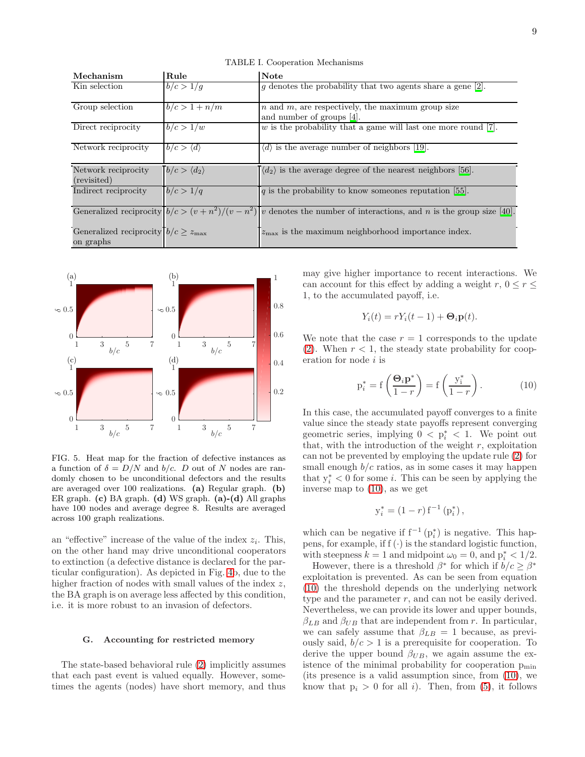| Mechanism                                         | Rule                        | Note                                                                                                                    |
|---------------------------------------------------|-----------------------------|-------------------------------------------------------------------------------------------------------------------------|
| Kin selection                                     | b/c > 1/q                   | $g$ denotes the probability that two agents share a gene [2].                                                           |
| Group selection                                   | $b/c > 1 + n/m$             | $n$ and $m$ , are respectively, the maximum group size<br>and number of groups [4].                                     |
| Direct reciprocity                                | b/c > 1/w                   | $w$ is the probability that a game will last one more round [7].                                                        |
| Network reciprocity                               | $b/c > \langle d \rangle$   | $\langle d \rangle$ is the average number of neighbors [19].                                                            |
| Network reciprocity<br>(revisited)                | $b/c > \langle d_2 \rangle$ | $\langle d_2 \rangle$ is the average degree of the nearest neighbors [56].                                              |
| Indirect reciprocity                              | b/c > 1/q                   | $q$ is the probability to know someones reputation [55].                                                                |
|                                                   |                             | Generalized reciprocity $b/c > (v + n^2)/(v - n^2)$ v denotes the number of interactions, and n is the group size [40]. |
| Generalized reciprocity $b/c \geq z_{\text{max}}$ |                             | $z_{\text{max}}$ is the maximum neighborhood importance index.                                                          |
| on graphs                                         |                             |                                                                                                                         |

<span id="page-8-0"></span>TABLE I. Cooperation Mechanisms



<span id="page-8-1"></span>FIG. 5. Heat map for the fraction of defective instances as a function of  $\delta = D/N$  and  $b/c$ . D out of N nodes are randomly chosen to be unconditional defectors and the results are averaged over 100 realizations. (a) Regular graph. (b) ER graph. (c) BA graph. (d) WS graph. (a)-(d) All graphs have 100 nodes and average degree 8. Results are averaged across 100 graph realizations.

an "effective" increase of the value of the index  $z_i$ . This, on the other hand may drive unconditional cooperators to extinction (a defective distance is declared for the particular configuration). As depicted in Fig. [4b](#page-7-0), due to the higher fraction of nodes with small values of the index z, the BA graph is on average less affected by this condition, i.e. it is more robust to an invasion of defectors.

# G. Accounting for restricted memory

The state-based behavioral rule [\(2\)](#page-2-0) implicitly assumes that each past event is valued equally. However, sometimes the agents (nodes) have short memory, and thus may give higher importance to recent interactions. We can account for this effect by adding a weight  $r, 0 \le r \le$ 1, to the accumulated payoff, i.e.

$$
Y_i(t) = rY_i(t-1) + \mathbf{\Theta}_i \mathbf{p}(t).
$$

We note that the case  $r = 1$  corresponds to the update [\(2\)](#page-2-0). When  $r < 1$ , the steady state probability for cooperation for node  $i$  is

<span id="page-8-2"></span>
$$
p_i^* = f\left(\frac{\Theta_i p^*}{1-r}\right) = f\left(\frac{y_i^*}{1-r}\right). \tag{10}
$$

In this case, the accumulated payoff converges to a finite value since the steady state payoffs represent converging geometric series, implying  $0 \leq p_i^* \leq 1$ . We point out that, with the introduction of the weight  $r$ , exploitation can not be prevented by employing the update rule [\(2\)](#page-2-0) for small enough  $b/c$  ratios, as in some cases it may happen that  $y_i^* < 0$  for some *i*. This can be seen by applying the inverse map to [\(10\)](#page-8-2), as we get

$$
y_i^* = (1 - r) f^{-1} (p_i^*),
$$

which can be negative if  $f^{-1}(p_i^*)$  is negative. This happens, for example, if  $f(\cdot)$  is the standard logistic function, with steepness  $k = 1$  and midpoint  $\omega_0 = 0$ , and  $p_i^* < 1/2$ .

However, there is a threshold  $\beta^*$  for which if  $b/c \geq \beta^*$ exploitation is prevented. As can be seen from equation [\(10\)](#page-8-2) the threshold depends on the underlying network type and the parameter  $r$ , and can not be easily derived. Nevertheless, we can provide its lower and upper bounds,  $\beta_{LB}$  and  $\beta_{UB}$  that are independent from r. In particular, we can safely assume that  $\beta_{LB} = 1$  because, as previously said,  $b/c > 1$  is a prerequisite for cooperation. To derive the upper bound  $\beta_{UB}$ , we again assume the existence of the minimal probability for cooperation  $p_{\min}$ (its presence is a valid assumption since, from [\(10\)](#page-8-2), we know that  $p_i > 0$  for all i). Then, from [\(5\)](#page-3-3), it follows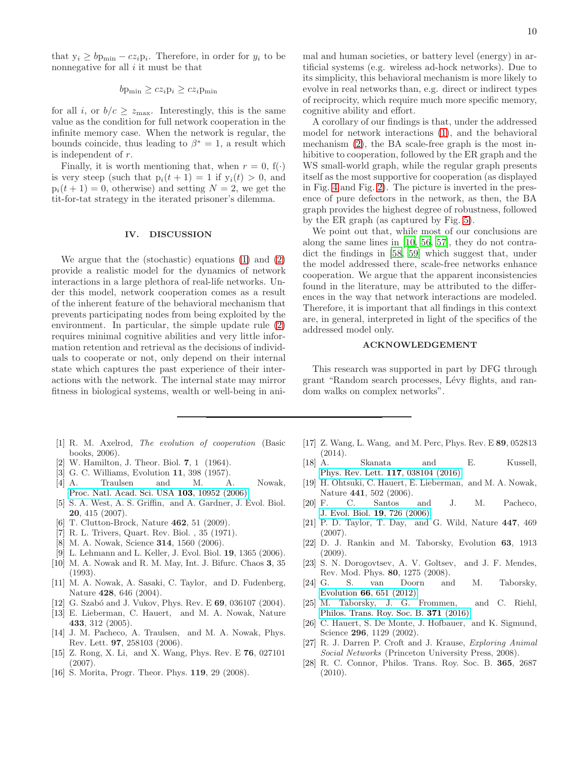that  $y_i \geq bp_{\min} - cz_i p_i$ . Therefore, in order for  $y_i$  to be nonnegative for all  $i$  it must be that

$$
b p_{\min} \ge c z_i p_i \ge c z_i p_{\min}
$$

for all i, or  $b/c \geq z_{\text{max}}$ . Interestingly, this is the same value as the condition for full network cooperation in the infinite memory case. When the network is regular, the bounds coincide, thus leading to  $\beta^* = 1$ , a result which is independent of r.

Finally, it is worth mentioning that, when  $r = 0$ , f(.) is very steep (such that  $p_i(t + 1) = 1$  if  $y_i(t) > 0$ , and  $p_i(t + 1) = 0$ , otherwise) and setting  $N = 2$ , we get the tit-for-tat strategy in the iterated prisoner's dilemma.

### IV. DISCUSSION

We argue that the (stochastic) equations [\(1\)](#page-1-1) and [\(2\)](#page-2-0) provide a realistic model for the dynamics of network interactions in a large plethora of real-life networks. Under this model, network cooperation comes as a result of the inherent feature of the behavioral mechanism that prevents participating nodes from being exploited by the environment. In particular, the simple update rule [\(2\)](#page-2-0) requires minimal cognitive abilities and very little information retention and retrieval as the decisions of individuals to cooperate or not, only depend on their internal state which captures the past experience of their interactions with the network. The internal state may mirror fitness in biological systems, wealth or well-being in ani-

- <span id="page-9-0"></span>[1] R. M. Axelrod, The evolution of cooperation (Basic books, 2006).
- <span id="page-9-1"></span>[2] W. Hamilton, J. Theor. Biol. 7, 1 (1964).
- <span id="page-9-2"></span>[3] G. C. Williams, Evolution 11, 398 (1957).
- <span id="page-9-3"></span>[4] A. Traulsen and M. A. Nowak, [Proc. Natl. Acad. Sci. USA](http://dx.doi.org/10.1073/pnas.0602530103) 103, 10952 (2006).
- <span id="page-9-4"></span>[5] S. A. West, A. S. Griffin, and A. Gardner, J. Evol. Biol. 20, 415 (2007).
- <span id="page-9-5"></span>[6] T. Clutton-Brock, Nature **462**, 51 (2009).
- <span id="page-9-6"></span>[7] R. L. Trivers, Quart. Rev. Biol. , 35 (1971).
- [8] M. A. Nowak, Science 314, 1560 (2006).
- <span id="page-9-7"></span>[9] L. Lehmann and L. Keller, J. Evol. Biol. 19, 1365 (2006).
- <span id="page-9-8"></span>[10] M. A. Nowak and R. M. May, Int. J. Bifurc. Chaos 3, 35 (1993).
- <span id="page-9-9"></span>[11] M. A. Nowak, A. Sasaki, C. Taylor, and D. Fudenberg, Nature 428, 646 (2004).
- [12] G. Szabó and J. Vukov, Phys. Rev. E 69, 036107 (2004).
- [13] E. Lieberman, C. Hauert, and M. A. Nowak, Nature 433, 312 (2005).
- [14] J. M. Pacheco, A. Traulsen, and M. A. Nowak, Phys. Rev. Lett. 97, 258103 (2006).
- [15] Z. Rong, X. Li, and X. Wang, Phys. Rev. E 76, 027101 (2007).
- [16] S. Morita, Progr. Theor. Phys. 119, 29 (2008).
- [17] Z. Wang, L. Wang, and M. Perc, Phys. Rev. E 89, 052813 (2014).
- <span id="page-9-10"></span>[18] A. Skanata and E. Kussell, [Phys. Rev. Lett.](http://dx.doi.org/10.1103/PhysRevLett.117.038104) 117, 038104 (2016).
- <span id="page-9-11"></span>[19] H. Ohtsuki, C. Hauert, E. Lieberman, and M. A. Nowak, Nature 441, 502 (2006).
- [20] F. C. Santos and J. M. Pacheco, [J. Evol. Biol.](http://dx.doi.org/10.1111/j.1420-9101.2005.01063.x) 19, 726 (2006).
- [21] P. D. Taylor, T. Day, and G. Wild, Nature 447, 469 (2007).
- <span id="page-9-12"></span>[22] D. J. Rankin and M. Taborsky, Evolution 63, 1913 (2009).
- <span id="page-9-13"></span>[23] S. N. Dorogovtsev, A. V. Goltsev, and J. F. Mendes, Rev. Mod. Phys. **80**, 1275 (2008).<br>G. S. van Doorn an
- <span id="page-9-14"></span>[24] G. S. van Doorn and M. Taborsky, Evolution 66[, 651 \(2012\).](http://dx.doi.org/10.1111/j.1558-5646.2011.01479.x)
- <span id="page-9-15"></span>[25] M. Taborsky, J. G. Frommen, and C. Riehl, [Philos. Trans. Roy. Soc. B.](http://rstb.royalsocietypublishing.org/content/371/1687/20150084) 371 (2016).
- <span id="page-9-16"></span>[26] C. Hauert, S. De Monte, J. Hofbauer, and K. Sigmund, Science **296**, 1129 (2002).
- [27] R. J. Darren P. Croft and J. Krause, Exploring Animal Social Networks (Princeton University Press, 2008).
- <span id="page-9-17"></span>[28] R. C. Connor, Philos. Trans. Roy. Soc. B. 365, 2687 (2010).

mal and human societies, or battery level (energy) in artificial systems (e.g. wireless ad-hock networks). Due to its simplicity, this behavioral mechanism is more likely to evolve in real networks than, e.g. direct or indirect types of reciprocity, which require much more specific memory, cognitive ability and effort.

A corollary of our findings is that, under the addressed model for network interactions [\(1\)](#page-1-1), and the behavioral mechanism [\(2\)](#page-2-0), the BA scale-free graph is the most inhibitive to cooperation, followed by the ER graph and the WS small-world graph, while the regular graph presents itself as the most supportive for cooperation (as displayed in Fig. [4](#page-7-0) and Fig. [2\)](#page-5-0). The picture is inverted in the presence of pure defectors in the network, as then, the BA graph provides the highest degree of robustness, followed by the ER graph (as captured by Fig. [5\)](#page-8-1).

We point out that, while most of our conclusions are along the same lines in [\[10,](#page-9-8) [56,](#page-10-27) [57](#page-10-28)], they do not contradict the findings in [\[58,](#page-10-29) [59\]](#page-10-30) which suggest that, under the model addressed there, scale-free networks enhance cooperation. We argue that the apparent inconsistencies found in the literature, may be attributed to the differences in the way that network interactions are modeled. Therefore, it is important that all findings in this context are, in general, interpreted in light of the specifics of the addressed model only.

### ACKNOWLEDGEMENT

This research was supported in part by DFG through grant "Random search processes, Lévy flights, and random walks on complex networks".